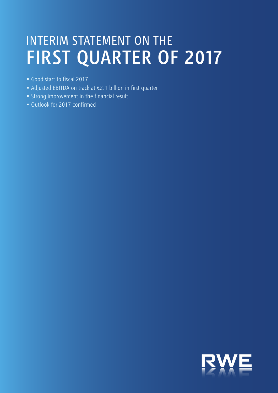# INTERIM STATEMENT ON THE FIRST QUARTER OF 2017

- Good start to fiscal 2017
- Adjusted EBITDA on track at €2.1 billion in first quarter
- Strong improvement in the financial result
- Outlook for 2017 confirmed

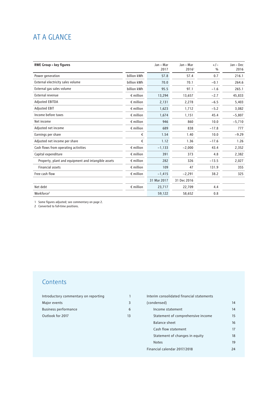## AT A GLANCE

| <b>RWE Group - key figures</b>                      |                    | Jan - Mar   | Jan - Mar         | $+/-$         | Jan - Dec |
|-----------------------------------------------------|--------------------|-------------|-------------------|---------------|-----------|
|                                                     |                    | 2017        | 2016 <sup>1</sup> | $\frac{0}{0}$ | 2016      |
| Power generation                                    | billion kWh        | 57.8        | 57.4              | 0.7           | 216.1     |
| External electricity sales volume                   | billion kWh        | 70.0        | 70.1              | $-0.1$        | 264.6     |
| External gas sales volume                           | billion kWh        | 95.5        | 97.1              | $-1.6$        | 265.1     |
| External revenue                                    | $\epsilon$ million | 13,294      | 13,657            | $-2.7$        | 45,833    |
| <b>Adjusted EBITDA</b>                              | $\epsilon$ million | 2,131       | 2,278             | $-6.5$        | 5,403     |
| <b>Adjusted EBIT</b>                                | $\epsilon$ million | 1,623       | 1,712             | $-5.2$        | 3,082     |
| Income before taxes                                 | $\epsilon$ million | 1,674       | 1,151             | 45.4          | $-5,807$  |
| Net income                                          | $\epsilon$ million | 946         | 860               | 10.0          | $-5,710$  |
| Adjusted net income                                 | $\epsilon$ million | 689         | 838               | $-17.8$       | 777       |
| Earnings per share                                  | €                  | 1.54        | 1.40              | 10.0          | $-9.29$   |
| Adjusted net income per share                       | €                  | 1.12        | 1.36              | $-17.6$       | 1.26      |
| Cash flows from operating activities                | $\epsilon$ million | $-1,133$    | $-2,000$          | 43.4          | 2,352     |
| Capital expenditure                                 | $\epsilon$ million | 391         | 373               | 4.8           | 2,382     |
| Property, plant and equipment and intangible assets | $\epsilon$ million | 282         | 326               | $-13.5$       | 2,027     |
| <b>Financial assets</b>                             | $\epsilon$ million | 109         | 47                | 131.9         | 355       |
| Free cash flow                                      | $\epsilon$ million | $-1,415$    | $-2,291$          | 38.2          | 325       |
|                                                     |                    | 31 Mar 2017 | 31 Dec 2016       |               |           |
| Net debt                                            | $\epsilon$ million | 23,717      | 22,709            | 4.4           |           |
| Workforce <sup>2</sup>                              |                    | 59,122      | 58,652            | 0.8           |           |

1 Some figures adjusted; see commentary on page 2.

2 Converted to full-time positions.

## **Contents**

| Introductory commentary on reporting |    |
|--------------------------------------|----|
| Major events                         |    |
| <b>Business performance</b>          |    |
| Outlook for 2017                     | 13 |

| Interim consolidated financial statements |    |
|-------------------------------------------|----|
| (condensed)                               | 14 |
| Income statement                          | 14 |
| Statement of comprehensive income         | 15 |
| Balance sheet                             | 16 |
| Cash flow statement                       | 17 |
| Statement of changes in equity            | 18 |
| <b>Notes</b>                              | 19 |
| Financial calendar 2017/2018              | 24 |
|                                           |    |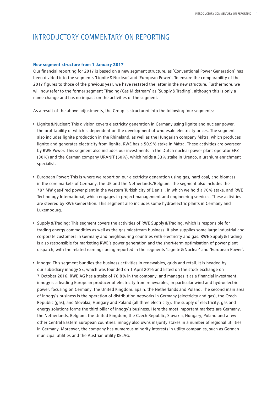## <span id="page-2-0"></span>INTRODUCTORY COMMENTARY ON REPORTING

### **New segment structure from 1 January 2017**

Our financial reporting for 2017 is based on a new segment structure, as 'Conventional Power Generation' has been divided into the segments 'Lignite&Nuclear' and 'European Power'. To ensure the comparability of the 2017 figures to those of the previous year, we have restated the latter in the new structure. Furthermore, we will now refer to the former segment 'Trading/Gas Midstream' as 'Supply&Trading', although this is only a name change and has no impact on the activities of the segment.

As a result of the above adjustments, the Group is structured into the following four segments:

- Lignite&Nuclear: This division covers electricity generation in Germany using lignite and nuclear power, the profitability of which is dependent on the development of wholesale electricity prices. The segment also includes lignite production in the Rhineland, as well as the Hungarian company Mátra, which produces lignite and generates electricity from lignite. RWE has a 50.9 % stake in Mátra. These activities are overseen by RWE Power. This segment also includes our investments in the Dutch nuclear power plant operator EPZ (30 %) and the German company URANIT (50 %), which holds a 33 % stake in Urenco, a uranium enrichment specialist.
- European Power: This is where we report on our electricity generation using gas, hard coal, and biomass in the core markets of Germany, the UK and the Netherlands/Belgium. The segment also includes the 787 MW gas-fired power plant in the western Turkish city of Denizli, in which we hold a 70 % stake, and RWE Technology International, which engages in project management and engineering services. These activities are steered by RWE Generation. This segment also includes some hydroelectric plants in Germany and Luxembourg.
- Supply&Trading: This segment covers the activities of RWE Supply&Trading, which is responsible for trading energy commodities as well as the gas midstream business. It also supplies some large industrial and corporate customers in Germany and neighbouring countries with electricity and gas. RWE Supply&Trading is also responsible for marketing RWE's power generation and the short-term optimisation of power plant dispatch, with the related earnings being reported in the segments 'Lignite&Nuclear' and 'European Power'.
- innogy: This segment bundles the business activities in renewables, grids and retail. It is headed by our subsidiary innogy SE, which was founded on 1 April 2016 and listed on the stock exchange on 7 October 2016. RWE AG has a stake of 76.8 % in the company, and manages it as a financial investment. innogy is a leading European producer of electricity from renewables, in particular wind and hydroelectric power, focusing on Germany, the United Kingdom, Spain, the Netherlands and Poland. The second main area of innogy's business is the operation of distribution networks in Germany (electricity and gas), the Czech Republic (gas), and Slovakia, Hungary and Poland (all three electricity). The supply of electricity, gas and energy solutions forms the third pillar of innogy's business. Here the most important markets are Germany, the Netherlands, Belgium, the United Kingdom, the Czech Republic, Slovakia, Hungary, Poland and a few other Central Eastern European countries. innogy also owns majority stakes in a number of regional utilities in Germany. Moreover, the company has numerous minority interests in utility companies, such as German municipal utilities and the Austrian utility KELAG.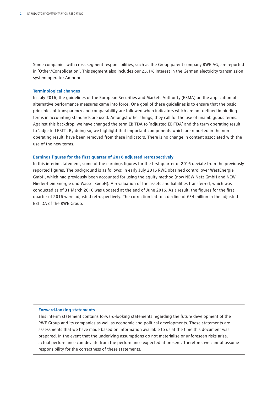Some companies with cross-segment responsibilities, such as the Group parent company RWE AG, are reported in 'Other/Consolidation'. This segment also includes our 25.1 % interest in the German electricity transmission system operator Amprion.

### **Terminological changes**

In July 2016, the guidelines of the European Securities and Markets Authority (ESMA) on the application of alternative performance measures came into force. One goal of these guidelines is to ensure that the basic principles of transparency and comparability are followed when indicators which are not defined in binding terms in accounting standards are used. Amongst other things, they call for the use of unambiguous terms. Against this backdrop, we have changed the term EBITDA to 'adjusted EBITDA' and the term operating result to 'adjusted EBIT'. By doing so, we highlight that important components which are reported in the nonoperating result, have been removed from these indicators. There is no change in content associated with the use of the new terms.

### **Earnings figures for the first quarter of 2016 adjusted retrospectively**

In this interim statement, some of the earnings figures for the first quarter of 2016 deviate from the previously reported figures. The background is as follows: in early July 2015 RWE obtained control over WestEnergie GmbH, which had previously been accounted for using the equity method (now NEW Netz GmbH and NEW Niederrhein Energie und Wasser GmbH). A revaluation of the assets and liabilities transferred, which was conducted as of 31 March 2016 was updated at the end of June 2016. As a result, the figures for the first quarter of 2016 were adjusted retrospectively. The correction led to a decline of €34 million in the adjusted EBITDA of the RWE Group.

### **Forward-looking statements**

This interim statement contains forward-looking statements regarding the future development of the RWE Group and its companies as well as economic and political developments. These statements are assessments that we have made based on information available to us at the time this document was prepared. In the event that the underlying assumptions do not materialise or unforeseen risks arise, actual performance can deviate from the performance expected at present. Therefore, we cannot assume responsibility for the correctness of these statements.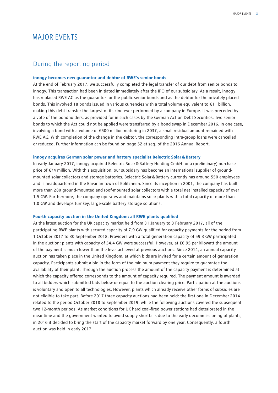## <span id="page-4-0"></span>MAJOR EVENTS

### During the reporting period

### **innogy becomes new guarantor and debtor of RWE's senior bonds**

At the end of February 2017, we successfully completed the legal transfer of our debt from senior bonds to innogy. This transaction had been initiated immediately after the IPO of our subsidiary. As a result, innogy has replaced RWE AG as the guarantor for the public senior bonds and as the debtor for the privately placed bonds. This involved 18 bonds issued in various currencies with a total volume equivalent to €11 billion, making this debt transfer the largest of its kind ever performed by a company in Europe. It was preceded by a vote of the bondholders, as provided for in such cases by the German Act on Debt Securities. Two senior bonds to which the Act could not be applied were transferred by a bond swap in December 2016. In one case, involving a bond with a volume of €500 million maturing in 2037, a small residual amount remained with RWE AG. With completion of the change in the debtor, the corresponding intra-group loans were cancelled or reduced. Further information can be found on page 52 et seq. of the 2016 Annual Report.

### **innogy acquires German solar power and battery specialist Belectric Solar&Battery**

In early January 2017, innogy acquired Belectric Solar&Battery Holding GmbH for a (preliminary) purchase price of €74 million. With this acquisition, our subsidary has become an international supplier of groundmounted solar collectors and storage batteries. Belectric Solar&Battery currently has around 550 employees and is headquartered in the Bavarian town of Kolitzheim. Since its inception in 2001, the company has built more than 280 ground-mounted and roof-mounted solar collectors with a total net installed capacity of over 1.5 GW. Furthermore, the company operates and maintains solar plants with a total capacity of more than 1.0 GW and develops turnkey, large-scale battery storage solutions.

### **Fourth capacity auction in the United Kingdom: all RWE plants qualified**

At the latest auction for the UK capacity market held from 31 January to 3 February 2017, all of the participating RWE plants with secured capacity of 7.9 GW qualified for capacity payments for the period from 1 October 2017 to 30 September 2018. Providers with a total generation capacity of 59.3 GW participated in the auction; plants with capacity of 54.4 GW were successful. However, at £6.95 per kilowatt the amount of the payment is much lower than the level achieved at previous auctions. Since 2014, an annual capacity auction has taken place in the United Kingdom, at which bids are invited for a certain amount of generation capacity. Participants submit a bid in the form of the minimum payment they require to guarantee the availability of their plant. Through the auction process the amount of the capacity payment is determined at which the capacity offered corresponds to the amount of capacity required. The payment amount is awarded to all bidders which submitted bids below or equal to the auction clearing price. Participation at the auctions is voluntary and open to all technologies. However, plants which already receive other forms of subsidies are not eligible to take part. Before 2017 three capacity auctions had been held: the first one in December 2014 related to the period October 2018 to September 2019, while the following auctions covered the subsequent two 12-month periods. As market conditions for UK hard coal-fired power stations had deteriorated in the meantime and the government wanted to avoid supply shortfalls due to the early decommissioning of plants, in 2016 it decided to bring the start of the capacity market forward by one year. Consequently, a fourth auction was held in early 2017.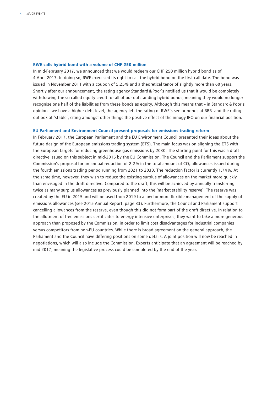### **RWE calls hybrid bond with a volume of CHF 250 million**

In mid-February 2017, we announced that we would redeem our CHF 250 million hybrid bond as of 4 April 2017. In doing so, RWE exercised its right to call the hybrid bond on the first call date. The bond was issued in November 2011 with a coupon of 5.25 % and a theoretical tenor of slightly more than 60 years. Shortly after our announcement, the rating agency Standard&Poor's notified us that it would be completely withdrawing the so-called equity credit for all of our outstanding hybrid bonds, meaning they would no longer recognise one half of the liabilities from these bonds as equity. Although this means that – in Standard&Poor's opinion – we have a higher debt level, the agency left the rating of RWE's senior bonds at BBB- and the rating outlook at 'stable', citing amongst other things the positive effect of the innogy IPO on our financial position.

### **EU Parliament and Environment Council present proposals for emissions trading reform**

In February 2017, the European Parliament and the EU Environment Council presented their ideas about the future design of the European emissions trading system (ETS). The main focus was on aligning the ETS with the European targets for reducing greenhouse gas emissions by 2030. The starting point for this was a draft directive issued on this subject in mid-2015 by the EU Commission. The Council and the Parliament support the Commission's proposal for an annual reduction of 2.2% in the total amount of CO<sub>2</sub> allowances issued during the fourth emissions trading period running from 2021 to 2030. The reduction factor is currently 1.74 %. At the same time, however, they wish to reduce the existing surplus of allowances on the market more quickly than envisaged in the draft directive. Compared to the draft, this will be achieved by annually transferring twice as many surplus allowances as previously planned into the 'market stability reserve'. The reserve was created by the EU in 2015 and will be used from 2019 to allow for more flexible management of the supply of emissions allowances (see 2015 Annual Report, page 33). Furthermore, the Council and Parliament support cancelling allowances from the reserve, even though this did not form part of the draft directive. In relation to the allotment of free emissions certificates to energy-intensive enterprises, they want to take a more generous approach than proposed by the Commission, in order to limit cost disadvantages for industrial companies versus competitors from non-EU countries. While there is broad agreement on the general approach, the Parliament and the Council have differing positions on some details. A joint position will now be reached in negotiations, which will also include the Commission. Experts anticipate that an agreement will be reached by mid-2017, meaning the legislative process could be completed by the end of the year.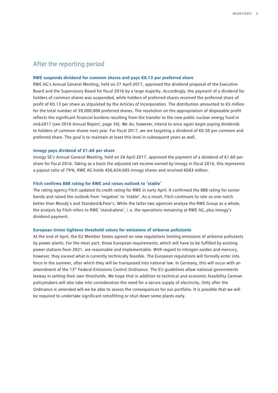### After the reporting period

### **RWE suspends dividend for common shares and pays €0.13 per preferred share**

RWE AG's Annual General Meeting, held on 27 April 2017, approved the dividend proposal of the Executive Board and the Supervisory Board for fiscal 2016 by a large majority. Accordingly, the payment of a dividend for holders of common shares was suspended, while holders of preferred shares received the preferred share of profit of €0.13 per share as stipulated by the Articles of Incorporation. The distribution amounted to €5 million for the total number of 39,000,000 preferred shares. The resolution on the appropriation of disposable profit reflects the significant financial burdens resulting from the transfer to the new public nuclear energy fund in mid-2017 (see 2016 Annual Report, page 34). We do, however, intend to once again begin paying dividends to holders of common shares next year. For fiscal 2017, we are targeting a dividend of €0.50 per common and preferred share. The goal is to maintain at least this level in subsequent years as well.

### **innogy pays dividend of €1.60 per share**

innogy SE's Annual General Meeting, held on 24 April 2017, approved the payment of a dividend of €1.60 per share for fiscal 2016. Taking as a basis the adjusted net income earned by innogy in fiscal 2016, this represents a payout ratio of 79 %. RWE AG holds 426,624,685 innogy shares and received €683 million.

### **Fitch confirms BBB rating for RWE and raises outlook to 'stable'**

The rating agency Fitch updated its credit rating for RWE in early April. It confirmed the BBB rating for senior bonds and raised the outlook from 'negative' to 'stable'. As a result, Fitch continues to rate us one notch better than Moody's and Standard&Poor's. While the latter two agencies analyse the RWE Group as a whole, the analysis by Fitch refers to RWE 'stand-alone', i.e. the operations remaining at RWE AG, plus innogy's dividend payment.

### **European Union tightens threshold values for emissions of airborne pollutants**

At the end of April, the EU Member States agreed on new regulations limiting emissions of airborne pollutants by power plants. For the most part, these European requirements, which will have to be fulfilled by existing power stations from 2021, are reasonable and implementable. With regard to nitrogen oxides and mercury, however, they exceed what is currently technically feasible. The European regulations will formally enter into force in the summer, after which they will be transposed into national law. In Germany, this will occur with an amendment of the 13th Federal Emissions Control Ordinance. The EU guidelines allow national governments leeway in setting their own thresholds. We hope that in addition to technical and economic feasibility German policymakers will also take into consideration the need for a secure supply of electricity. Only after the Ordinance is amended will we be able to assess the consequences for our portfolio. It is possible that we will be required to undertake significant retrofitting or shut down some plants early.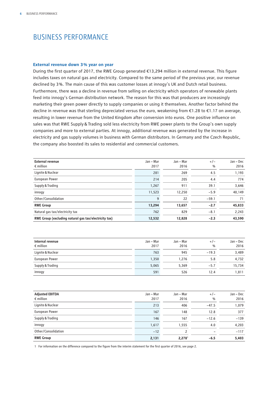## <span id="page-7-0"></span>BUSINESS PERFORMANCE

### **External revenue down 3 % year on year**

During the first quarter of 2017, the RWE Group generated €13,294 million in external revenue. This figure includes taxes on natural gas and electricity. Compared to the same period of the previous year, our revenue declined by 3 %. The main cause of this was customer losses at innogy's UK and Dutch retail business. Furthermore, there was a decline in revenue from selling on electricity which operators of renewable plants feed into innogy's German distribution network. The reason for this was that producers are increasingly marketing their green power directly to supply companies or using it themselves. Another factor behind the decline in revenue was that sterling depreciated versus the euro, weakening from €1.28 to €1.17 on average, resulting in lower revenue from the United Kingdom after conversion into euros. One positive influence on sales was that RWE Supply&Trading sold less electricity from RWE power plants to the Group's own supply companies and more to external parties. At innogy, additional revenue was generated by the increase in electricity and gas supply volumes in business with German distributors. In Germany and the Czech Republic, the company also boosted its sales to residential and commercial customers.

| <b>External revenue</b><br>$\epsilon$ million         | Jan - Mar<br>2017 | Jan - Mar<br>2016 | $+/-$<br>$\frac{0}{0}$ | Jan - Dec<br>2016 |
|-------------------------------------------------------|-------------------|-------------------|------------------------|-------------------|
| Lignite & Nuclear                                     | 281               | 269               | 4.5                    | 1,193             |
| European Power                                        | 214               | 205               | 4.4                    | 774               |
| Supply & Trading                                      | 1,267             | 911               | 39.1                   | 3,646             |
| innogy                                                | 11,523            | 12,250            | $-5.9$                 | 40,149            |
| Other/Consolidation                                   | 9                 | 22                | $-59.1$                | 71                |
| <b>RWE Group</b>                                      | 13,294            | 13,657            | $-2.7$                 | 45,833            |
| Natural gas tax/electricity tax                       | 762               | 829               | $-8.1$                 | 2,243             |
| RWE Group (excluding natural gas tax/electricity tax) | 12,532            | 12,828            | $-2.3$                 | 43,590            |

| Internal revenue<br>$\epsilon$ million | Jan - Mar<br>2017 | Jan - Mar<br>2016 | $+/-$<br>$\frac{0}{0}$ | Jan – Dec<br>2016 |
|----------------------------------------|-------------------|-------------------|------------------------|-------------------|
| Lignite & Nuclear                      | 763               | 945               | $-19.3$                | 3,489             |
| European Power                         | 1,350             | 1.276             | 5.8                    | 4,732             |
| Supply & Trading                       | 5,065             | 5,369             | $-5.7$                 | 15,734            |
| innogy                                 | 591               | 526               | 12.4                   | 1,811             |

| <b>Adjusted EBITDA</b><br>$\epsilon$ million | Jan - Mar<br>2017 | Jan - Mar<br>2016  | $+/-$<br>$\frac{0}{0}$ | Jan – Dec<br>2016 |
|----------------------------------------------|-------------------|--------------------|------------------------|-------------------|
| Lignite & Nuclear                            | 213               | 406                | $-47.5$                | 1,079             |
| European Power                               | 167               | 148                | 12.8                   | 377               |
| Supply & Trading                             | 146               | 167                | $-12.6$                | $-139$            |
| innogy                                       | 1,617             | 1,555              | 4.0                    | 4,203             |
| Other/Consolidation                          | $-12$             |                    | -                      | $-117$            |
| <b>RWE Group</b>                             | 2,131             | 2,278 <sup>1</sup> | $-6.5$                 | 5,403             |

1 For information on the difference compared to the figure from the interim statement for the first quarter of 2016, see page 2.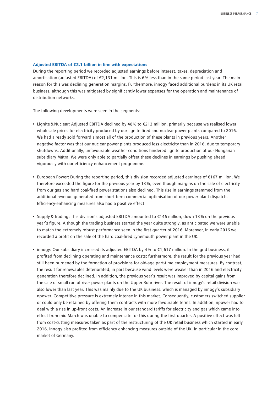### **Adjusted EBITDA of €2.1 billion in line with expectations**

During the reporting period we recorded adjusted earnings before interest, taxes, depreciation and amortisation (adjusted EBITDA) of €2,131 million. This is 6 % less than in the same period last year. The main reason for this was declining generation margins. Furthermore, innogy faced additional burdens in its UK retail business, although this was mitigated by significantly lower expenses for the operation and maintenance of distribution networks.

The following developments were seen in the segments:

- Lignite&Nuclear: Adjusted EBITDA declined by 48 % to €213 million, primarily because we realised lower wholesale prices for electricity produced by our lignite-fired and nuclear power plants compared to 2016. We had already sold forward almost all of the production of these plants in previous years. Another negative factor was that our nuclear power plants produced less electricity than in 2016, due to temporary shutdowns. Additionally, unfavourable weather conditions hindered lignite production at our Hungarian subsidiary Mátra. We were only able to partially offset these declines in earnings by pushing ahead vigorously with our efficiency-enhancement programme.
- European Power: During the reporting period, this division recorded adjusted earnings of €167 million. We therefore exceeded the figure for the previous year by 13 %, even though margins on the sale of electricity from our gas and hard coal-fired power stations also declined. This rise in earnings stemmed from the additional revenue generated from short-term commercial optimisation of our power plant dispatch. Efficiency-enhancing measures also had a positive effect.
- Supply&Trading: This division's adjusted EBITDA amounted to €146 million, down 13 % on the previous year's figure. Although the trading business started the year quite strongly, as anticipated we were unable to match the extremely robust performance seen in the first quarter of 2016. Moreover, in early 2016 we recorded a profit on the sale of the hard coal-fired Lynemouth power plant in the UK.
- innogy: Our subsidiary increased its adjusted EBITDA by 4 % to €1,617 million. In the grid business, it profited from declining operating and maintenance costs; furthermore, the result for the previous year had still been burdened by the formation of provisions for old-age part-time employment measures. By contrast, the result for renewables deteriorated, in part because wind levels were weaker than in 2016 and electricity generation therefore declined. In addition, the previous year's result was improved by capital gains from the sale of small run-of-river power plants on the Upper Ruhr river. The result of innogy's retail division was also lower than last year. This was mainly due to the UK business, which is managed by innogy's subsidiary npower. Competitive pressure is extremely intense in this market. Consequently, customers switched supplier or could only be retained by offering them contracts with more favourable terms. In addition, npower had to deal with a rise in up-front costs. An increase in our standard tariffs for electricity and gas which came into effect from mid-March was unable to compensate for this during the first quarter. A positive effect was felt from cost-cutting measures taken as part of the restructuring of the UK retail business which started in early 2016. innogy also profited from efficiency enhancing measures outside of the UK, in particular in the core market of Germany.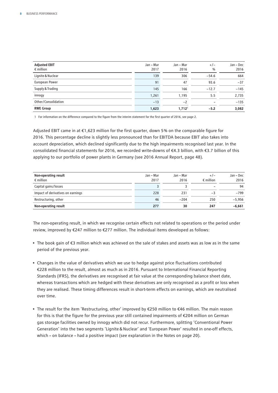| <b>Adjusted EBIT</b><br>$\epsilon$ million | Jan - Mar<br>2017 | Jan - Mar<br>2016    | $+/-$<br>$\frac{0}{0}$ | Jan – Dec<br>2016 |
|--------------------------------------------|-------------------|----------------------|------------------------|-------------------|
| Lignite & Nuclear                          | 139               | 306                  | $-54.6$                | 664               |
| European Power                             | 91                | 47                   | 93.6                   | $-37$             |
| Supply & Trading                           | 145               | 166                  | $-12.7$                | $-145$            |
| innogy                                     | 1,261             | 1,195                | 5.5                    | 2,735             |
| Other/Consolidation                        | $-13$             | $-2$                 |                        | $-135$            |
| <b>RWE Group</b>                           | 1,623             | $1,712$ <sup>1</sup> | $-5.2$                 | 3,082             |

1 For information on the difference compared to the figure from the interim statement for the first quarter of 2016, see page 2.

Adjusted EBIT came in at €1,623 million for the first quarter, down 5 % on the comparable figure for 2016. This percentage decline is slightly less pronounced than for EBITDA because EBIT also takes into account depreciation, which declined significantly due to the high impairments recognised last year. In the consolidated financial statements for 2016, we recorded write-downs of €4.3 billion, with €3.7 billion of this applying to our portfolio of power plants in Germany (see 2016 Annual Report, page 48).

| Non-operating result<br>$\epsilon$ million | Jan - Mar<br>2017 | Jan – Mar<br>2016 | $+/-$<br>$\epsilon$ million | Jan - Dec<br>2016 |
|--------------------------------------------|-------------------|-------------------|-----------------------------|-------------------|
| Capital gains/losses                       |                   |                   |                             | 94                |
| Impact of derivatives on earnings          | 228               | 231               | - 1                         | $-799$            |
| Restructuring, other                       | 46                | $-204$            | 250                         | $-5.956$          |
| Non-operating result                       | 277               | 30                | 247                         | $-6,661$          |

The non-operating result, in which we recognise certain effects not related to operations or the period under review, improved by €247 million to €277 million. The individual items developed as follows:

- The book gain of €3 million which was achieved on the sale of stakes and assets was as low as in the same period of the previous year.
- Changes in the value of derivatives which we use to hedge against price fluctuations contributed €228 million to the result, almost as much as in 2016. Pursuant to International Financial Reporting Standards (IFRS), the derivatives are recognised at fair value at the corresponding balance sheet date, whereas transactions which are hedged with these derivatives are only recognised as a profit or loss when they are realised. These timing differences result in short-term effects on earnings, which are neutralised over time.
- The result for the item 'Restructuring, other' improved by €250 million to €46 million. The main reason for this is that the figure for the previous year still contained impairments of €204 million on German gas storage facilities owned by innogy which did not recur. Furthermore, splitting 'Conventional Power Generation' into the two segments 'Lignite&Nuclear' and 'European Power' resulted in one-off effects, which – on balance – had a positive impact (see explanation in the Notes on page 20).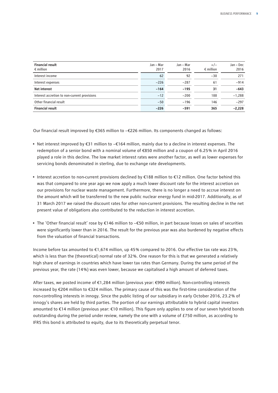| <b>Financial result</b><br>$\epsilon$ million | Jan - Mar<br>2017 | Jan - Mar<br>2016 | $+/-$<br>$\epsilon$ million | Jan - Dec<br>2016 |
|-----------------------------------------------|-------------------|-------------------|-----------------------------|-------------------|
| Interest income                               | 62                | 92                | $-30$                       | 271               |
| Interest expenses                             | $-226$            | $-287$            | 61                          | $-914$            |
| <b>Net interest</b>                           | $-164$            | $-195$            | 31                          | $-643$            |
| Interest accretion to non-current provisions  | $-12$             | $-200$            | 188                         | $-1,288$          |
| Other financial result                        | $-50$             | $-196$            | 146                         | $-297$            |
| <b>Financial result</b>                       | $-226$            | $-591$            | 365                         | $-2,228$          |

Our financial result improved by €365 million to −€226 million. Its components changed as follows:

- Net interest improved by €31 million to −€164 million, mainly due to a decline in interest expenses. The redemption of a senior bond with a nominal volume of €850 million and a coupon of 6.25 % in April 2016 played a role in this decline. The low market interest rates were another factor, as well as lower expenses for servicing bonds denominated in sterling, due to exchange rate developments.
- Interest accretion to non-current provisions declined by €188 million to €12 million. One factor behind this was that compared to one year ago we now apply a much lower discount rate for the interest accretion on our provisions for nuclear waste management. Furthermore, there is no longer a need to accrue interest on the amount which will be transferred to the new public nuclear energy fund in mid-2017. Additionally, as of 31 March 2017 we raised the discount rates for other non-current provisions. The resulting decline in the net present value of obligations also contributed to the reduction in interest accretion.
- The 'Other financial result' rose by €146 million to −€50 million, in part because losses on sales of securities were significantly lower than in 2016. The result for the previous year was also burdened by negative effects from the valuation of financial transactions.

Income before tax amounted to €1,674 million, up 45 % compared to 2016. Our effective tax rate was 23 %, which is less than the (theoretical) normal rate of 32 %. One reason for this is that we generated a relatively high share of earnings in countries which have lower tax rates than Germany. During the same period of the previous year, the rate (14 %) was even lower, because we capitalised a high amount of deferred taxes.

After taxes, we posted income of €1,284 million (previous year: €990 million). Non-controlling interests increased by €204 million to €324 million. The primary cause of this was the first-time consideration of the non-controlling interests in innogy. Since the public listing of our subsidiary in early October 2016, 23.2 % of innogy's shares are held by third parties. The portion of our earnings attributable to hybrid capital investors amounted to €14 million (previous year: €10 million). This figure only applies to one of our seven hybrid bonds outstanding during the period under review, namely the one with a volume of £750 million, as according to IFRS this bond is attributed to equity, due to its theoretically perpetual tenor.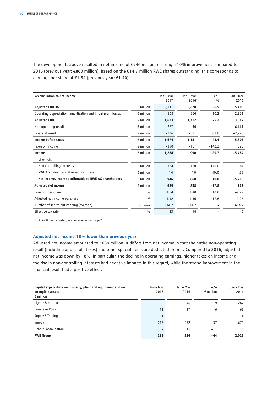The developments above resulted in net income of €946 million, marking a 10 % improvement compared to 2016 (previous year: €860 million). Based on the 614.7 million RWE shares outstanding, this corresponds to earnings per share of €1.54 (previous year: €1.40).

| <b>Reconciliation to net income</b>                        |                    | Jan - Mar<br>2017 | Jan - Mar<br>2016 <sup>1</sup> | $+/-$<br>$\frac{0}{0}$ | Jan - Dec<br>2016 |
|------------------------------------------------------------|--------------------|-------------------|--------------------------------|------------------------|-------------------|
| <b>Adjusted EBITDA</b>                                     | $\epsilon$ million | 2,131             | 2.278                          | $-6.5$                 | 5,403             |
| Operating depreciation, amortisation and impairment losses | $\epsilon$ million | $-508$            | $-566$                         | 10.2                   | $-2,321$          |
| <b>Adjusted EBIT</b>                                       | $\epsilon$ million | 1,623             | 1,712                          | $-5.2$                 | 3,082             |
| Non-operating result                                       | $\epsilon$ million | 277               | 30                             |                        | $-6,661$          |
| Financial result                                           | $\epsilon$ million | $-226$            | $-591$                         | 61.8                   | $-2,228$          |
| Income before taxes                                        | $\epsilon$ million | 1,674             | 1,151                          | 45.4                   | $-5,807$          |
| Taxes on income                                            | $\epsilon$ million | $-390$            | $-161$                         | $-142.2$               | 323               |
| Income                                                     | $\epsilon$ million | 1,284             | 990                            | 29.7                   | $-5,484$          |
| of which:                                                  |                    |                   |                                |                        |                   |
| Non-controlling interests                                  | $\epsilon$ million | 324               | 120                            | 170.0                  | 167               |
| RWE AG hybrid capital investors' interest                  | $\epsilon$ million | 14                | 10                             | 40.0                   | 59                |
| Net income/income attributable to RWE AG shareholders      | $\epsilon$ million | 946               | 860                            | 10.0                   | $-5,710$          |
| Adjusted net income                                        | $\epsilon$ million | 689               | 838                            | $-17.8$                | 777               |
| Earnings per share                                         | €                  | 1.54              | 1.40                           | 10.0                   | $-9.29$           |
| Adjusted net income per share                              | €                  | 1.12              | 1.36                           | $-17.6$                | 1.26              |
| Number of shares outstanding (average)                     | millions           | 614.7             | 614.7                          |                        | 614.7             |
| Effective tax rate                                         | $\frac{0}{0}$      | 23                | 14                             |                        | 6                 |

1 Some figures adjusted; see commentary on page 2.

### **Adjusted net income 18 % lower than previous year**

Adjusted net income amounted to €689 million. It differs from net income in that the entire non-operating result (including applicable taxes) and other special items are deducted from it. Compared to 2016, adjusted net income was down by 18 %. In particular, the decline in operating earnings, higher taxes on income and the rise in non-controlling interests had negative impacts in this regard, while the strong improvement in the financial result had a positive effect.

| Capital expenditure on property, plant and equipment and on<br>intangible assets<br>$\epsilon$ million | Jan – Mar<br>2017 | Jan - Mar<br>2016        | $+/-$<br>$\epsilon$ million | Jan – Dec<br>2016 |
|--------------------------------------------------------------------------------------------------------|-------------------|--------------------------|-----------------------------|-------------------|
| Lignite & Nuclear                                                                                      | 55                | 46                       | 9                           | 267               |
| European Power                                                                                         | 11                | 17                       | -6                          | 66                |
| Supply & Trading                                                                                       |                   | $\overline{\phantom{0}}$ |                             | 4                 |
| innogy                                                                                                 | 215               | 252                      | $-37$                       | 1,679             |
| Other/Consolidation                                                                                    |                   | 11                       | $-11$                       | 11                |
| <b>RWE Group</b>                                                                                       | 282               | 326                      | $-44$                       | 2,027             |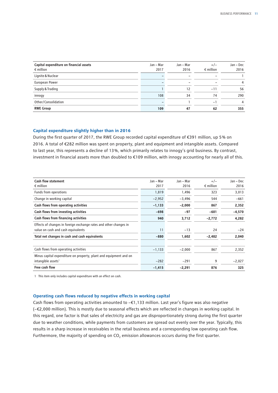| Capital expenditure on financial assets<br>$\epsilon$ million | Jan - Mar<br>2017 | Jan - Mar<br>2016 | $+/-$<br>$\epsilon$ million | Jan – Dec<br>2016 |
|---------------------------------------------------------------|-------------------|-------------------|-----------------------------|-------------------|
| Lignite & Nuclear                                             |                   |                   | $\qquad \qquad$             |                   |
| European Power                                                |                   |                   |                             | 4                 |
| Supply & Trading                                              |                   | 12                | $-11$                       | 56                |
| innogy                                                        | 108               | 34                | 74                          | 290               |
| Other/Consolidation                                           |                   |                   | $-1$                        | 4                 |
| <b>RWE Group</b>                                              | 109               | 47                | 62                          | 355               |

### **Capital expenditure slightly higher than in 2016**

During the first quarter of 2017, the RWE Group recorded capital expenditure of €391 million, up 5 % on 2016. A total of €282 million was spent on property, plant and equipment and intangible assets. Compared to last year, this represents a decline of 13 %, which primarily relates to innogy's grid business. By contrast, investment in financial assets more than doubled to €109 million, with innogy accounting for nearly all of this.

| <b>Cash flow statement</b><br>$\epsilon$ million                                                        | Jan - Mar<br>2017 | Jan – Mar<br>2016 | $+/-$<br>$\epsilon$ million | Jan – Dec<br>2016 |
|---------------------------------------------------------------------------------------------------------|-------------------|-------------------|-----------------------------|-------------------|
| Funds from operations                                                                                   | 1,819             | 1,496             | 323                         | 3,013             |
| Change in working capital                                                                               | $-2,952$          | $-3,496$          | 544                         | $-661$            |
| Cash flows from operating activities                                                                    | $-1,133$          | $-2,000$          | 867                         | 2,352             |
| Cash flows from investing activities                                                                    | $-698$            | $-97$             | $-601$                      | $-4,570$          |
| Cash flows from financing activities                                                                    | 940               | 3,712             | $-2,772$                    | 4,282             |
| Effects of changes in foreign exchange rates and other changes in<br>value on cash and cash equivalents | 11                | $-13$             | 24                          | $-24$             |
| Total net changes in cash and cash equivalents                                                          | $-880$            | 1,602             | $-2,482$                    | 2,040             |
|                                                                                                         |                   |                   |                             |                   |
| Cash flows from operating activities                                                                    | $-1,133$          | $-2,000$          | 867                         | 2,352             |
| Minus capital expenditure on property, plant and equipment and on                                       |                   |                   |                             |                   |
| intangible assets <sup>1</sup>                                                                          | $-282$            | $-291$            | 9                           | $-2,027$          |
| Free cash flow                                                                                          | $-1,415$          | $-2,291$          | 876                         | 325               |

1 This item only includes capital expenditure with an effect on cash.

### **Operating cash flows reduced by negative effects in working capital**

Cash flows from operating activities amounted to −€1,133 million. Last year's figure was also negative (−€2,000 million). This is mostly due to seasonal effects which are reflected in changes in working capital. In this regard, one factor is that sales of electricity and gas are disproportionately strong during the first quarter due to weather conditions, while payments from customers are spread out evenly over the year. Typically, this results in a sharp increase in receivables in the retail business and a corresponding low operating cash flow. Furthermore, the majority of spending on CO<sub>2</sub> emission allowances occurs during the first quarter.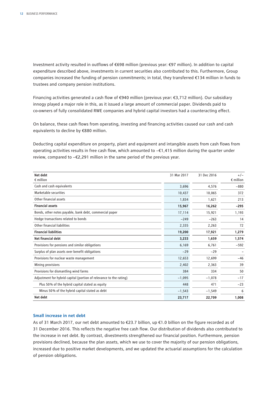Investment activity resulted in outflows of €698 million (previous year: €97 million). In addition to capital expenditure described above, investments in current securities also contributed to this. Furthermore, Group companies increased the funding of pension commitments; in total, they transferred €134 million in funds to trustees and company pension institutions.

Financing activities generated a cash flow of €940 million (previous year: €3,712 million). Our subsidiary innogy played a major role in this, as it issued a large amount of commercial paper. Dividends paid to co-owners of fully consolidated RWE companies and hybrid capital investors had a counteracting effect.

On balance, these cash flows from operating, investing and financing activities caused our cash and cash equivalents to decline by €880 million.

Deducting capital expenditure on property, plant and equipment and intangible assets from cash flows from operating activities results in free cash flow, which amounted to −€1,415 million during the quarter under review, compared to −€2,291 million in the same period of the previous year.

| Net debt<br>$\epsilon$ million                                     | 31 Mar 2017 | 31 Dec 2016 | $+/-$<br>$\epsilon$ million |
|--------------------------------------------------------------------|-------------|-------------|-----------------------------|
| Cash and cash equivalents                                          | 3,696       | 4,576       | $-880$                      |
| Marketable securities                                              | 10,437      | 10,065      | 372                         |
| Other financial assets                                             | 1,834       | 1,621       | 213                         |
| <b>Financial assets</b>                                            | 15,967      | 16,262      | $-295$                      |
| Bonds, other notes payable, bank debt, commercial paper            | 17,114      | 15,921      | 1,193                       |
| Hedge transactions related to bonds                                | $-249$      | $-263$      | 14                          |
| Other financial liabilities                                        | 2,335       | 2,263       | 72                          |
| <b>Financial liabilities</b>                                       | 19,200      | 17,921      | 1,279                       |
| Net financial debt                                                 | 3,233       | 1,659       | 1,574                       |
| Provisions for pensions and similar obligations                    | 6,169       | 6,761       | $-592$                      |
| Surplus of plan assets over benefit obligations                    | $-29$       | $-29$       |                             |
| Provisions for nuclear waste management                            | 12,653      | 12,699      | $-46$                       |
| Mining provisions                                                  | 2,402       | 2,363       | 39                          |
| Provisions for dismantling wind farms                              | 384         | 334         | 50                          |
| Adjustment for hybrid capital (portion of relevance to the rating) | $-1,095$    | $-1,078$    | $-17$                       |
| Plus 50% of the hybrid capital stated as equity                    | 448         | 471         | $-23$                       |
| Minus 50% of the hybrid capital stated as debt                     | $-1,543$    | $-1,549$    | 6                           |
| Net debt                                                           | 23,717      | 22,709      | 1,008                       |

### **Small increase in net debt**

As of 31 March 2017, our net debt amounted to €23.7 billion, up €1.0 billion on the figure recorded as of 31 December 2016. This reflects the negative free cash flow. Our distribution of dividends also contributed to the increase in net debt. By contrast, divestments strengthened our financial position. Furthermore, pension provisions declined, because the plan assets, which we use to cover the majority of our pension obligations, increased due to positive market developments, and we updated the actuarial assumptions for the calculation of pension obligations.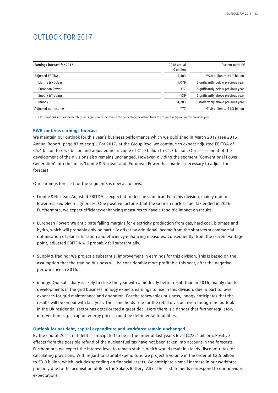## <span id="page-14-0"></span>OUTLOOK FOR 2017

| <b>Earnings forecast for 2017</b> | 2016 actual<br>$\epsilon$ million | Current outlook <sup>1</sup>      |
|-----------------------------------|-----------------------------------|-----------------------------------|
| <b>Adjusted EBITDA</b>            | 5.403                             | €5.4 billion to €5.7 billion      |
| Lignite & Nuclear                 | 1.079                             | Significantly below previous year |
| European Power                    | 377                               | Significantly below previous year |
| Supply & Trading                  | $-139$                            | Significantly above previous year |
| innogy                            | 4,203                             | Moderately above previous year    |
| Adjusted net income               | 777                               | €1.0 billion to €1.3 billion      |

1 Classifications such as 'moderately' or 'significantly' pertain to the percentage deviation from the respective figure for the previous year.

### **RWE confirms earnings forecast**

We maintain our outlook for this year's business performance which we published in March 2017 (see 2016 Annual Report, page 87 et seqq.). For 2017, at the Group level we continue to expect adjusted EBITDA of €5.4 billion to €5.7 billion and adjusted net income of €1.0 billion to €1.3 billion. Our assessment of the development of the divisions also remains unchanged. However, dividing the segment 'Conventional Power Generation' into the areas 'Lignite&Nuclear' and 'European Power' has made it necessary to adjust the forecast.

Our earnings forecast for the segments is now as follows:

- Lignite&Nuclear: Adjusted EBITDA is expected to decline significantly in this division, mainly due to lower realised electricity prices. One positive factor is that the German nuclear fuel tax ended in 2016. Furthermore, we expect efficiency-enhancing measures to have a tangible impact on results.
- European Power: We anticipate falling margins for electricity production from gas, hard coal, biomass and hydro, which will probably only be partially offset by additional income from the short-term commercial optimisation of plant utilisation and efficiency-enhancing measures. Consequently, from the current vantage point, adjusted EBITDA will probably fall substantially.
- Supply&Trading: We project a substantial improvement in earnings for this division. This is based on the assumption that the trading business will be considerably more profitable this year, after the negative performance in 2016.
- innogy: Our subsidiary is likely to close the year with a modestly better result than in 2016, mainly due to developments in the grid business. innogy expects earnings to rise in this division, due in part to lower expenses for grid maintenance and operation. For the renewables business, innogy anticipates that the results will be on par with last year. The same holds true for the retail division, even though the outlook in the UK residential sector has deteriorated a great deal. Here there is a danger that further regulatory intervention e.g. a cap on energy prices, could be detrimental to utilities.

### **Outlook for net debt, capital expenditure and workforce remain unchanged**

By the end of 2017, net debt is anticipated to be in the order of last year's level (€22.7 billion). Positive effects from the possible refund of the nuclear fuel tax have not been taken into account in the forecasts. Furthermore, we expect the interest level to remain stable, which would result in steady discount rates for calculating provisions. With regard to capital expenditure, we project a volume in the order of €2.5 billion to €3.0 billion, which includes spending on financial assets. We anticipate a small increase in our workforce, primarily due to the acquisition of Belectric Solar&Battery. All of these statements correspond to our previous expectations.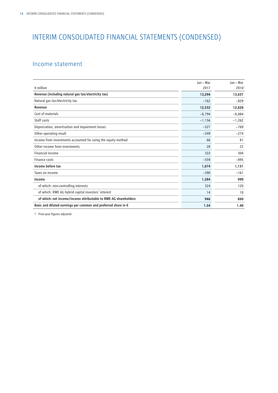## <span id="page-15-0"></span>INTERIM CONSOLIDATED FINANCIAL STATEMENTS (CONDENSED)

## Income statement

|                                                                         | Jan - Mar | Jan - Mar         |
|-------------------------------------------------------------------------|-----------|-------------------|
| $\epsilon$ million                                                      | 2017      | 2016 <sup>1</sup> |
| Revenue (including natural gas tax/electricity tax)                     | 13,294    | 13,657            |
| Natural gas tax/electricity tax                                         | $-762$    | $-829$            |
| Revenue                                                                 | 12,532    | 12,828            |
| Cost of materials                                                       | $-8,794$  | $-8,884$          |
| Staff costs                                                             | $-1,156$  | $-1,262$          |
| Depreciation, amortisation and impairment losses                        | $-527$    | $-769$            |
| Other operating result                                                  | $-249$    | $-274$            |
| Income from investments accounted for using the equity method           | 66        | 81                |
| Other income from investments                                           | 28        | 22                |
| Financial income                                                        | 333       | 304               |
| Finance costs                                                           | $-559$    | $-895$            |
| Income before tax                                                       | 1,674     | 1,151             |
| Taxes on income                                                         | $-390$    | $-161$            |
| Income                                                                  | 1,284     | 990               |
| of which: non-controlling interests                                     | 324       | 120               |
| of which: RWE AG hybrid capital investors' interest                     | 14        | 10                |
| of which: net income/income attributable to RWE AG shareholders         | 946       | 860               |
| Basic and diluted earnings per common and preferred share in $\epsilon$ | 1.54      | 1.40              |

1 Prior-year figures adjusted.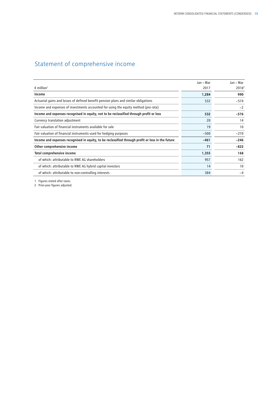## <span id="page-16-0"></span>Statement of comprehensive income

|                                                                                                   | Jan – Mar | Jan – Mar         |
|---------------------------------------------------------------------------------------------------|-----------|-------------------|
| $\epsilon$ million <sup>1</sup>                                                                   | 2017      | 2016 <sup>2</sup> |
| Income                                                                                            | 1,284     | 990               |
| Actuarial gains and losses of defined benefit pension plans and similar obligations               | 532       | $-574$            |
| Income and expenses of investments accounted for using the equity method (pro rata)               |           | $-2$              |
| Income and expenses recognised in equity, not to be reclassified through profit or loss           | 532       | $-576$            |
| Currency translation adjustment                                                                   | 20        | 14                |
| Fair valuation of financial instruments available for sale                                        | 19        | 10                |
| Fair valuation of financial instruments used for hedging purposes                                 | $-500$    | $-270$            |
| Income and expenses recognised in equity, to be reclassified through profit or loss in the future | $-461$    | $-246$            |
| Other comprehensive income                                                                        | 71        | $-822$            |
| <b>Total comprehensive income</b>                                                                 | 1,355     | 168               |
| of which: attributable to RWE AG shareholders                                                     | 957       | 162               |
| of which: attributable to RWE AG hybrid capital investors                                         | 14        | 10                |
| of which: attributable to non-controlling interests                                               | 384       | -4                |

1 Figures stated after taxes.

2 Prior-year figures adjusted.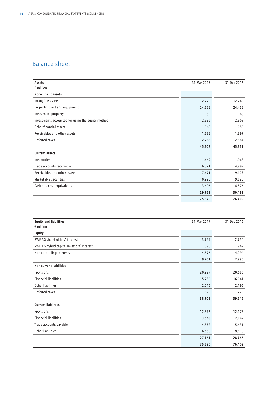## <span id="page-17-0"></span>Balance sheet

| Assets                                            | 31 Mar 2017 | 31 Dec 2016 |
|---------------------------------------------------|-------------|-------------|
| $\epsilon$ million                                |             |             |
| <b>Non-current assets</b>                         |             |             |
| Intangible assets                                 | 12,770      | 12,749      |
| Property, plant and equipment                     | 24,655      | 24,455      |
| Investment property                               | 59          | 63          |
| Investments accounted for using the equity method | 2,936       | 2,908       |
| Other financial assets                            | 1,060       | 1,055       |
| Receivables and other assets                      | 1,665       | 1,797       |
| Deferred taxes                                    | 2,763       | 2,884       |
|                                                   | 45,908      | 45,911      |
| <b>Current assets</b>                             |             |             |
| Inventories                                       | 1,649       | 1,968       |
| Trade accounts receivable                         | 6,521       | 4,999       |
| Receivables and other assets                      | 7,671       | 9,123       |
| Marketable securities                             | 10,225      | 9,825       |
| Cash and cash equivalents                         | 3,696       | 4,576       |
|                                                   | 29,762      | 30,491      |
|                                                   | 75,670      | 76,402      |

| <b>Equity and liabilities</b>             | 31 Mar 2017 | 31 Dec 2016 |
|-------------------------------------------|-------------|-------------|
| $\epsilon$ million                        |             |             |
| <b>Equity</b>                             |             |             |
| RWE AG shareholders' interest             | 3,729       | 2,754       |
| RWE AG hybrid capital investors' interest | 896         | 942         |
| Non-controlling interests                 | 4,576       | 4,294       |
|                                           | 9,201       | 7,990       |
| <b>Non-current liabilities</b>            |             |             |
| Provisions                                | 20,277      | 20,686      |
| <b>Financial liabilities</b>              | 15,786      | 16,041      |
| <b>Other liabilities</b>                  | 2,016       | 2,196       |
| Deferred taxes                            | 629         | 723         |
|                                           | 38,708      | 39,646      |
| <b>Current liabilities</b>                |             |             |
| Provisions                                | 12,566      | 12,175      |
| <b>Financial liabilities</b>              | 3,663       | 2,142       |
| Trade accounts payable                    | 4,882       | 5,431       |
| Other liabilities                         | 6,650       | 9,018       |
|                                           | 27,761      | 28,766      |
|                                           | 75,670      | 76,402      |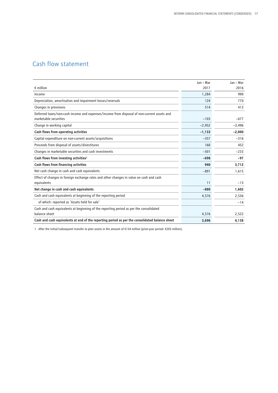## <span id="page-18-0"></span>Cash flow statement

|                                                                                                | Jan - Mar | Jan - Mar |
|------------------------------------------------------------------------------------------------|-----------|-----------|
| $\epsilon$ million                                                                             | 2017      | 2016      |
| Income                                                                                         | 1,284     | 990       |
| Depreciation, amortisation and impairment losses/reversals                                     | 124       | 770       |
| Changes in provisions                                                                          | 514       | 413       |
| Deferred taxes/non-cash income and expenses/income from disposal of non-current assets and     |           |           |
| marketable securities                                                                          | $-103$    | $-677$    |
| Change in working capital                                                                      | $-2,952$  | $-3,496$  |
| Cash flows from operating activities                                                           | $-1,133$  | $-2,000$  |
| Capital expenditure on non-current assets/acquisitions                                         | $-357$    | $-316$    |
| Proceeds from disposal of assets/divestitures                                                  | 160       | 452       |
| Changes in marketable securities and cash investments                                          | $-501$    | $-233$    |
| Cash flows from investing activities <sup>1</sup>                                              | $-698$    | $-97$     |
| Cash flows from financing activities                                                           | 940       | 3,712     |
| Net cash change in cash and cash equivalents                                                   | $-891$    | 1,615     |
| Effect of changes in foreign exchange rates and other changes in value on cash and cash        |           |           |
| equivalents                                                                                    | 11        | $-13$     |
| Net change in cash and cash equivalents                                                        | $-880$    | 1,602     |
| Cash and cash equivalents at beginning of the reporting period                                 | 4,576     | 2,536     |
| of which: reported as 'Assets held for sale'                                                   |           | $-14$     |
| Cash and cash equivalents at beginning of the reporting period as per the consolidated         |           |           |
| balance sheet                                                                                  | 4,576     | 2,522     |
| Cash and cash equivalents at end of the reporting period as per the consolidated balance sheet | 3,696     | 4,138     |

1 After the initial/subsequent transfer to plan assets in the amount of €134 million (prior-year period: €203 million).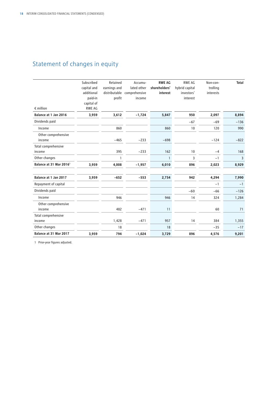## <span id="page-19-0"></span>Statement of changes in equity

| $\epsilon$ million                  | Subscribed<br>capital and<br>additional<br>paid-in<br>capital of<br><b>RWE AG</b> | Retained<br>earnings and<br>profit | Accumu-<br>lated other<br>distributable comprehensive<br>income | <b>RWE AG</b><br>shareholders'<br>interest | <b>RWE AG</b><br>hybrid capital<br>investors'<br>interest | Non-con-<br>trolling<br>interests | <b>Total</b> |
|-------------------------------------|-----------------------------------------------------------------------------------|------------------------------------|-----------------------------------------------------------------|--------------------------------------------|-----------------------------------------------------------|-----------------------------------|--------------|
| Balance at 1 Jan 2016               | 3,959                                                                             | 3,612                              | $-1,724$                                                        | 5,847                                      | 950                                                       | 2,097                             | 8,894        |
| Dividends paid                      |                                                                                   |                                    |                                                                 |                                            | $-67$                                                     | $-69$                             | $-136$       |
| Income                              |                                                                                   | 860                                |                                                                 | 860                                        | 10                                                        | 120                               | 990          |
| Other comprehensive<br>income       |                                                                                   | $-465$                             | $-233$                                                          | $-698$                                     |                                                           | $-124$                            | $-822$       |
| Total comprehensive<br>income       |                                                                                   | 395                                | $-233$                                                          | 162                                        | 10                                                        | $-4$                              | 168          |
| Other changes                       |                                                                                   | $\mathbf{1}$                       |                                                                 | $\mathbf{1}$                               | 3                                                         | $-1$                              | 3            |
| Balance at 31 Mar 2016 <sup>1</sup> | 3,959                                                                             | 4,008                              | $-1,957$                                                        | 6,010                                      | 896                                                       | 2,023                             | 8,929        |
| Balance at 1 Jan 2017               | 3,959                                                                             | $-652$                             | $-553$                                                          | 2,754                                      | 942                                                       | 4,294                             | 7,990        |
| Repayment of capital                |                                                                                   |                                    |                                                                 |                                            |                                                           | $-1$                              | $-1$         |
| Dividends paid                      |                                                                                   |                                    |                                                                 |                                            | $-60$                                                     | $-66$                             | $-126$       |
| Income                              |                                                                                   | 946                                |                                                                 | 946                                        | 14                                                        | 324                               | 1,284        |
| Other comprehensive<br>income       |                                                                                   | 482                                | $-471$                                                          | 11                                         |                                                           | 60                                | 71           |
| Total comprehensive                 |                                                                                   |                                    |                                                                 |                                            |                                                           |                                   |              |
| income                              |                                                                                   | 1,428                              | $-471$                                                          | 957                                        | 14                                                        | 384                               | 1,355        |
| Other changes                       |                                                                                   | 18                                 |                                                                 | 18                                         |                                                           | $-35$                             | $-17$        |
| Balance at 31 Mar 2017              | 3,959                                                                             | 794                                | $-1,024$                                                        | 3,729                                      | 896                                                       | 4,576                             | 9,201        |

1 Prior-year figures adjusted.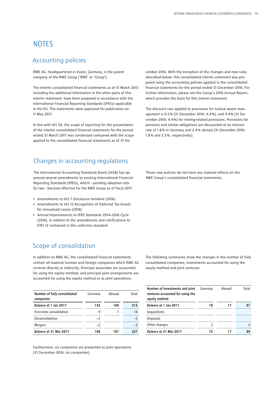## <span id="page-20-0"></span>**NOTES**

## Accounting policies

RWE AG, headquartered in Essen, Germany, is the parent company of the RWE Group ('RWE' or 'Group').

The interim consolidated financial statements as of 31 March 2017, including the additional information in the other parts of this interim statement, have been prepared in accordance with the International Financial Reporting Standards (IFRSs) applicable in the EU. The statements were approved for publication on 11 May 2017.

In line with IAS 34, the scope of reporting for the presentation of the interim consolidated financial statements for the period ended 31 March 2017 was condensed compared with the scope applied to the consolidated financial statements as of 31 De-

## Changes in accounting regulations

The International Accounting Standards Board (IASB) has approved several amendments to existing International Financial Reporting Standards (IFRSs), which – pending adoption into EU law – become effective for the RWE Group as of fiscal 2017:

- Amendments to IAS 7 Disclosure Initiative (2016)
- Amendments to IAS 12 Recognition of Deferred Tax Assets for Unrealised Losses (2016)
- Annual Improvements to IFRS Standards 2014–2016 Cycle (2016), in relation to the amendments and clarifications to IFRS 12 contained in this collective standard

## Scope of consolidation

In addition to RWE AG, the consolidated financial statements contain all material German and foreign companies which RWE AG controls directly or indirectly. Principal associates are accounted for using the equity method, and principal joint arrangements are accounted for using the equity method or as joint operations.

| Number of fully consolidated<br>companies | Germany | Abroad | Total |
|-------------------------------------------|---------|--------|-------|
| Balance at 1 Jan 2017                     | 135     | 180    | 315   |
| First-time consolidation                  | 9       |        | 16    |
| Deconsolidation                           | $-2$    |        | $-2$  |
| <b>Mergers</b>                            | $-2$    |        |       |
| Balance at 31 Mar 2017                    | 140     | 187    | 327   |

Furthermore, six companies are presented as joint operations (31 December 2016: six companies).

cember 2016. With the exception of the changes and new rules described below, this consolidated interim statement was prepared using the accounting policies applied in the consolidated financial statements for the period ended 31 December 2016. For further information, please see the Group's 2016 Annual Report, which provides the basis for this interim statement.

The discount rate applied to provisions for nuclear waste management is 0.5 % (31 December 2016: 0.4 %), and 4.4 % (31 December 2016: 4.4 %) for mining-related provisions. Provisions for pensions and similar obligations are discounted at an interest rate of 1.8 % in Germany and 2.4 % abroad (31 December 2016: 1.8 % and 2.5 %, respectively).

These new policies do not have any material effects on the RWE Group's consolidated financial statements.

The following summaries show the changes in the number of fully consolidated companies, investments accounted for using the equity method and joint ventures:

| Number of investments and joint<br>ventures accounted for using the<br>equity method | Germany | Abroad | Total |
|--------------------------------------------------------------------------------------|---------|--------|-------|
| Balance at 1 Jan 2017                                                                | 70      | 17     | 87    |
| Acquisitions                                                                         |         |        |       |
| <b>Disposals</b>                                                                     |         |        |       |
| Other changes                                                                        | 2       |        |       |
| Balance at 31 Mar 2017                                                               | 72      |        | 89    |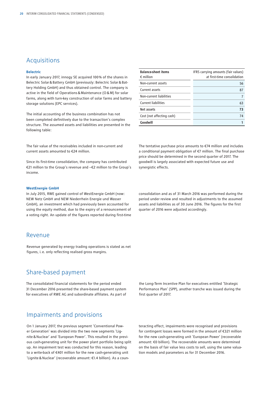### Acquisitions

#### **Belectric**

In early January 2017, innogy SE acquired 100 % of the shares in Belectric Solar&Battery GmbH (previously: Belectric Solar&Battery Holding GmbH) and thus obtained control. The company is active in the field of Operations&Maintenance (O&M) for solar farms, along with turn-key construction of solar farms and battery storage solutions (EPC services).

The initial accounting of the business combination has not been completed definitively due to the transaction's complex structure. The assumed assets and liabilities are presented in the following table:

The fair value of the receivables included in non-current and current assets amounted to €24 million.

Since its first-time consolidation, the company has contributed €21 million to the Group's revenue and −€2 million to the Group's income.

#### **WestEnergie GmbH**

In July 2015, RWE gained control of WestEnergie GmbH (now: NEW Netz GmbH and NEW Niederrhein Energie und Wasser GmbH), an investment which had previously been accounted for using the equity method, due to the expiry of a renouncement of a voting right. An update of the figures reported during first-time

### Revenue

Revenue generated by energy trading operations is stated as net figures, i.e. only reflecting realised gross margins.

### Share-based payment

The consolidated financial statements for the period ended 31 December 2016 presented the share-based payment system for executives of RWE AG and subordinate affiliates. As part of

### Impairments and provisions

On 1 January 2017, the previous segment 'Conventional Power Generation' was divided into the two new segments 'Lignite& Nuclear' and 'European Power'. This resulted in the previous cash-generating unit for the power plant portfolio being split up. An impairment test was conducted for this reason, leading to a write-back of €401 million for the new cash-generating unit 'Lignite&Nuclear' (recoverable amount: €1.4 billion). As a coun-

| <b>Balance-sheet items</b><br>$\epsilon$ million | IFRS carrying amounts (fair values)<br>at first-time consolidation |
|--------------------------------------------------|--------------------------------------------------------------------|
| Non-current assets                               | 56                                                                 |
| Current assets                                   | 87                                                                 |
| Non-current liabilities                          |                                                                    |
| <b>Current liabilities</b>                       | 63                                                                 |
| Net assets                                       | 73                                                                 |
| Cost (not affecting cash)                        | 74                                                                 |
| Goodwill                                         |                                                                    |

The tentative purchase price amounts to €74 million and includes a conditional payment obligation of €7 million. The final purchase price should be determined in the second quarter of 2017. The goodwill is largely associated with expected future use and synergistic effects.

consolidation and as of 31 March 2016 was performed during the period under review and resulted in adjustments to the assumed assets and liabilities as of 30 June 2016. The figures for the first quarter of 2016 were adjusted accordingly.

the Long-Term Incentive Plan for executives entitled 'Strategic Performance Plan' (SPP), another tranche was issued during the first quarter of 2017.

teracting effect, impairments were recognised and provisions for contingent losses were formed in the amount of €321 million for the new cash-generating unit 'European Power' (recoverable amount: €0 billion). The recoverable amounts were determined on the basis of fair value less costs to sell, using the same valuation models and parameters as for 31 December 2016.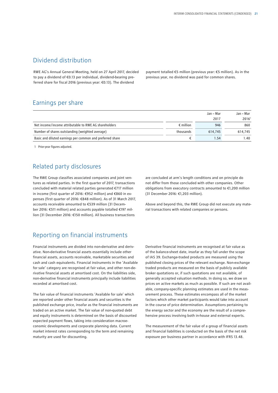## Dividend distribution

RWE AG's Annual General Meeting, held on 27 April 2017, decided to pay a dividend of €0.13 per individual, dividend-bearing preferred share for fiscal 2016 (previous year: €0.13). The dividend

payment totalled €5 million (previous year: €5 million). As in the previous year, no dividend was paid for common shares.

### Earnings per share

|                                                           |                    | Jan – Mar | Jan – Mar |
|-----------------------------------------------------------|--------------------|-----------|-----------|
|                                                           |                    | 2017      | 2016'     |
| Net income/income attributable to RWE AG shareholders     | $\epsilon$ million | 946       | 860       |
| Number of shares outstanding (weighted average)           | thousands          | 614,745   | 614.745   |
| Basic and diluted earnings per common and preferred share |                    | 1.54      | 1.40      |

1 Prior-year figures adjusted.

## Related party disclosures

The RWE Group classifies associated companies and joint ventures as related parties. In the first quarter of 2017, transactions concluded with material related parties generated €717 million in income (first quarter of 2016: €952 million) and €860 in expenses (first quarter of 2016: €848 million). As of 31 March 2017, accounts receivable amounted to €539 million (31 December 2016: €511 million) and accounts payable totalled €197 million (31 December 2016: €150 million). All business transactions

Reporting on financial instruments

Financial instruments are divided into non-derivative and derivative. Non-derivative financial assets essentially include other financial assets, accounts receivable, marketable securities and cash and cash equivalents. Financial instruments in the 'Available for sale' category are recognised at fair value, and other non-derivative financial assets at amortised cost. On the liabilities side, non-derivative financial instruments principally include liabilities recorded at amortised cost.

The fair value of financial instruments 'Available for sale' which are reported under other financial assets and securities is the published exchange price, insofar as the financial instruments are traded on an active market. The fair value of non-quoted debt and equity instruments is determined on the basis of discounted expected payment flows, taking into consideration macroeconomic developments and corporate planning data. Current market interest rates corresponding to the term and remaining maturity are used for discounting.

are concluded at arm's length conditions and on principle do not differ from those concluded with other companies. Other obligations from executory contracts amounted to €1,200 million (31 December 2016: €1,203 million).

Above and beyond this, the RWE Group did not execute any material transactions with related companies or persons.

Derivative financial instruments are recognised at fair value as of the balance-sheet date, insofar as they fall under the scope of IAS 39. Exchange-traded products are measured using the published closing prices of the relevant exchange. Non-exchange traded products are measured on the basis of publicly available broker quotations or, if such quotations are not available, of generally accepted valuation methods. In doing so, we draw on prices on active markets as much as possible. If such are not available, company-specific planning estimates are used in the measurement process. These estimates encompass all of the market factors which other market participants would take into account in the course of price determination. Assumptions pertaining to the energy sector and the economy are the result of a comprehensive process involving both in-house and external experts.

The measurement of the fair value of a group of financial assets and financial liabilities is conducted on the basis of the net risk exposure per business partner in accordance with IFRS 13.48.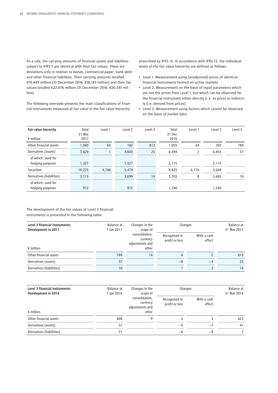As a rule, the carrying amounts of financial assets and liabilities subject to IFRS 7 are identical with their fair values. There are deviations only in relation to bonds, commercial paper, bank debt and other financial liabilities. Their carrying amounts totalled €19,449 million (31 December 2016: €18,183 million) and their fair values totalled €22,076 million (31 December 2016: €20,541 million).

The following overview presents the main classifications of financial instruments measured at fair value in the fair value hierarchy

prescribed by IFRS 13. In accordance with IFRS 13, the individual levels of the fair value hierarchy are defined as follows:

- Level 1: Measurement using (unadjusted) prices of identical financial instruments formed on active markets
- Level 2: Measurement on the basis of input parameters which are not the prices from Level 1, but which can be observed for the financial instrument either directly (i.e. as price) or indirectly (i.e. derived from prices)
- Level 3: Measurement using factors which cannot be observed on the basis of market data

| Fair value hierarchy<br>$\epsilon$ million | Total<br>31 Mar<br>2017 | Level 1 | Level <sub>2</sub> | Level 3 | Total<br>31 Dec<br>2016 | Level 1 | Level <sub>2</sub> | Level 3 |
|--------------------------------------------|-------------------------|---------|--------------------|---------|-------------------------|---------|--------------------|---------|
| Other financial assets                     | 1,060                   | 65      | 182                | 813     | 1,055                   | 64      | 202                | 789     |
| Derivatives (assets)                       | 3,629                   |         | 3,603              | 25      | 6,494                   | 2       | 6,455              | 37      |
| of which: used for<br>hedging purposes     | 1,327                   |         | 1,327              |         | 2,175                   |         | 2,175              |         |
| Securities                                 | 10,225                  | 4,746   | 5,479              |         | 9,825                   | 6,776   | 3,049              |         |
| Derivatives (liabilities)                  | 3,113                   |         | 3,099              | 14      | 5,703                   | 8       | 5,685              | 10      |
| of which: used for<br>hedging purposes     | 912                     |         | 912                |         | 1,240                   |         | 1,240              |         |

The development of the fair values of Level 3 financial instruments is presented in the following table:

| Level 3 financial instruments:<br>Development in 2017 | Balance at<br>I Jan 2017 | Changes in the<br>scope of      | Changes               | Balance at<br>31 Mar 2017 |     |
|-------------------------------------------------------|--------------------------|---------------------------------|-----------------------|---------------------------|-----|
| consolidation,<br>currency<br>adjustments and         |                          | Recognised in<br>profit or loss | With a cash<br>effect |                           |     |
| $\epsilon$ million                                    |                          | other                           |                       |                           |     |
| Other financial assets                                | 789                      | 14                              | 8                     |                           | 813 |
| Derivatives (assets)                                  | 37                       |                                 | $-8$                  | $-4$                      | 25  |
| Derivatives (liabilities)                             | 10 <sup>°</sup>          |                                 |                       |                           | 14  |

| Level 3 financial instruments:<br>Development in 2016 | Balance at<br>1 Jan 2016 | Changes in the<br>scope of                             | Changes                         | Balance at<br>31 Mar 2016 |     |
|-------------------------------------------------------|--------------------------|--------------------------------------------------------|---------------------------------|---------------------------|-----|
| $\epsilon$ million                                    |                          | consolidation,<br>currency<br>adjustments and<br>other | Recognised in<br>profit or loss | With a cash<br>effect     |     |
| Other financial assets                                | 608                      | 9                                                      |                                 |                           | 623 |
| Derivatives (assets)                                  | 57                       |                                                        | $-9$                            | $-7$                      | 41  |
| Derivatives (liabilities)                             | 21                       |                                                        | -6                              | $-8$                      |     |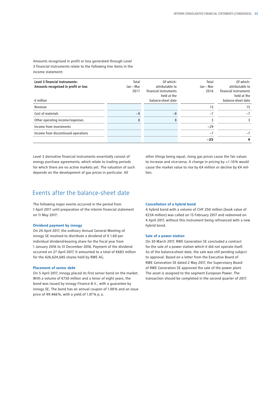Amounts recognised in profit or loss generated through Level 3 financial instruments relate to the following line items in the income statement:

| Level 3 financial instruments:       | Total     | Of which:             | Total     | Of which:             |
|--------------------------------------|-----------|-----------------------|-----------|-----------------------|
| Amounts recognised in profit or loss | Jan - Mar | attributable to       | Jan – Mar | attributable to       |
|                                      | 2017      | financial instruments | 2016      | financial instruments |
|                                      |           | held at the           |           | held at the           |
| $\epsilon$ million                   |           | balance-sheet date    |           | balance-sheet date    |
| Revenue                              |           |                       | 15        | 15                    |
| Cost of materials                    | $-8$      | $-8$                  | $-7$      | $-7$                  |
| Other operating income/expenses      | 8         | 8                     |           | 3                     |
| Income from investments              |           |                       | $-29$     |                       |
| Income from discontinued operations  |           |                       | $-7$      | $-7$                  |
|                                      |           |                       | $-25$     | 4                     |

Level 3 derivative financial instruments essentially consist of energy purchase agreements, which relate to trading periods for which there are no active markets yet. The valuation of such depends on the development of gas prices in particular. All

other things being equal, rising gas prices cause the fair values to increase and vice-versa. A change in pricing by +/−10 % would cause the market value to rise by €4 million or decline by €4 million.

## Events after the balance-sheet date

The following major events occurred in the period from 1 April 2017 until preparation of the interim financial statement on 11 May 2017:

#### **Dividend payment by innogy**

On 24 April 2017, the ordinary Annual General Meeting of innogy SE resolved to distribute a dividend of € 1.60 per individual dividend-bearing share for the fiscal year from 1 January 2016 to 31 December 2016. Payment of the dividend occurred on 27 April 2017. It amounted to a total of €683 million for the 426,624,685 shares held by RWE AG.

#### **Placement of senior debt**

On 5 April 2017, innogy placed its first senior bond on the market. With a volume of €750 million and a tenor of eight years, the bond was issued by innogy Finance B.V., with a guarantee by innogy SE. The bond has an annual coupon of 1.00 % and an issue price of 99.466 %, with a yield of 1.07 % p.a.

#### **Cancellation of a hybrid bond**

A hybrid bond with a volume of CHF 250 million (book value of €234 million) was called on 13 February 2017 and redeemed on 4 April 2017, without this instrument being refinanced with a new hybrid bond.

#### **Sale of a power station**

On 30 March 2017, RWE Generation SE concluded a contract for the sale of a power station which it did not operate itself. As of the balance-sheet date, the sale was still pending subject to approval. Based on a letter from the Executive Board of RWE Generation SE dated 2 May 2017, the Supervisory Board of RWE Generation SE approved the sale of the power plant. The asset is assigned to the segment European Power. The transaction should be completed in the second quarter of 2017.